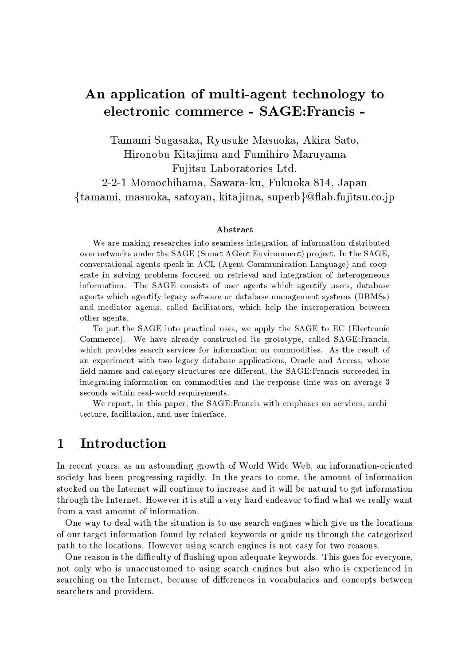# An application of multi-agent technology to electronic commerce - SAGE:Francis -

Tamami Sugasaka, Ryusuke Masuoka, Akira Sato, Hironobu Kita jima and Fumihiro Maruyama Fujitsu Laboratories Ltd. 2-2-1 Momochihama, Sawara-ku, Fukuoka 814, Japan {tamami, masuoka, satoyan, kitajima, superb}@flab.fujitsu.co.jp

#### Abstract

We are making researches into seamless integration of information distributed over networks under the SAGE (Smart AGent Environment) pro ject. In the SAGE, conversational agents speak in ACL (Agent Communication Language) and cooperate in solving problems focused on retrieval and integration of heterogeneous information. The SAGE consists of user agents which agentify users, database agents which agentify legacy software or database management systems (DBMSs) and mediator agents, called facilitators, which help the interoperation between other agents.

To put the SAGE into practical uses, we apply the SAGE to EC (Electronic Commerce). We have already constructed its prototype, called SAGE:Francis, which provides search services for information on commodities. As the result of an experiment with two legacy database applications, Oracle and Access, whose field names and category structures are different, the SAGE: Francis succeeded in integrating information on commodities and the response time was on average 3 seconds within real-world requirements.

We report, in this paper, the SAGE:Francis with emphases on services, architecture, facilitation, and user interface.

## 1 Introduction

In recent years, as an astounding growth of World Wide Web, an information-oriented society has been progressing rapidly. In the years to come, the amount of information stocked on the Internet will continue to increase and it will be natural to get information through the Internet. However it is still a very hard endeavor to find what we really want from a vast amount of information.

One way to deal with the situation is to use search engines which give us the locations of our target information found by related keywords or guide us through the categorized path to the locations. However using search engines is not easy for two reasons.

One reason is the difficulty of flushing upon adequate keywords. This goes for everyone, not only who is unaccustomed to using search engines but also who is experienced in searching on the Internet, because of differences in vocabularies and concepts between searchers and providers.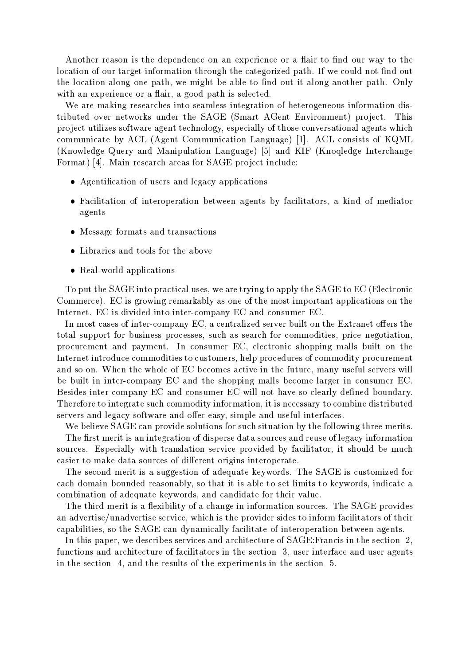Another reason is the dependence on an experience or a flair to find our way to the location of our target information through the categorized path. If we could not find out the location along one path, we might be able to find out it along another path. Only with an experience or a flair, a good path is selected.

We are making researches into seamless integration of heterogeneous information distributed over networks under the SAGE (Smart AGent Environment) project. This pro ject utilizes software agent technology, especially of those conversational agents which communicate by ACL (Agent Communication Language) [1]. ACL consists of KQML (Knowledge Query and Manipulation Language) [5] and KIF (Knoqledge Interchange Format) [4]. Main research areas for SAGE project include:

- Agentication of users and legacy applications
- Facilitation of interoperation between agents by facilitators, a kind of mediator agents
- message formats and transactions and
- 
- real-world applications and applications of the contractions of the contractions of the contract of the contract of the contract of the contract of the contract of the contract of the contract of the contract of the contra

To put the SAGE into practical uses, we are trying to apply the SAGE to EC (Electronic Commerce). EC is growing remarkably as one of the most important applications on the Internet. EC is divided into inter-company EC and consumer EC.

In most cases of inter-company  $EC$ , a centralized server built on the Extranet offers the total support for business processes, such as search for commodities, price negotiation, procurement and payment. In consumer EC, electronic shopping malls built on the Internet introduce commodities to customers, help procedures of commodity procurement and so on. When the whole of EC becomes active in the future, many useful servers will be built in inter-company EC and the shopping malls become larger in consumer EC. Besides inter-company EC and consumer EC will not have so clearly defined boundary. Therefore to integrate such commodity information, it is necessary to combine distributed servers and legacy software and offer easy, simple and useful interfaces.

We believe SAGE can provide solutions for such situation by the following three merits. The first merit is an integration of disperse data sources and reuse of legacy information sources. Especially with translation service provided by facilitator, it should be much easier to make data sources of different origins interoperate.

The second merit is a suggestion of adequate keywords. The SAGE is customized for each domain bounded reasonably, so that it is able to set limits to keywords, indicate a combination of adequate keywords, and candidate for their value.

The third merit is a flexibility of a change in information sources. The SAGE provides an advertise/unadvertise service, which is the provider sides to inform facilitators of their capabilities, so the SAGE can dynamically facilitate of interoperation between agents.

In this paper, we describes services and architecture of SAGE:Francis in the section 2, functions and architecture of facilitators in the section 3, user interface and user agents in the section 4, and the results of the experiments in the section 5.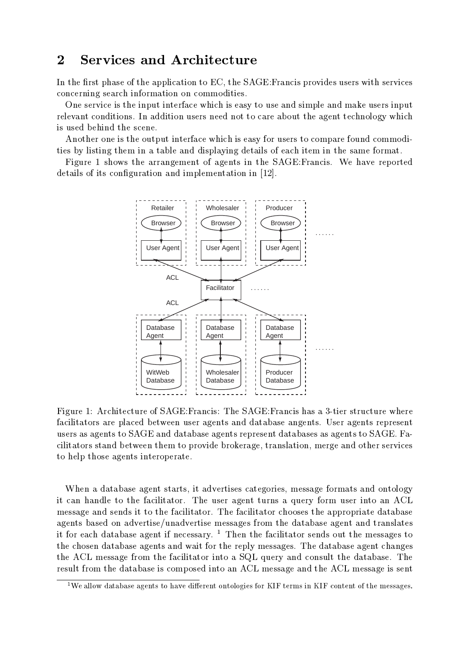## 2 Services and Architecture

In the first phase of the application to EC, the SAGE: Francis provides users with services concerning search information on commodities.

One service is the input interface which is easy to use and simple and make users input relevant conditions. In addition users need not to care about the agent technology which is used behind the scene.

Another one is the output interface which is easy for users to compare found commodities by listing them in a table and displaying details of each item in the same format.

Figure 1 shows the arrangement of agents in the SAGE:Francis. We have reported details of its configuration and implementation in [12].



Figure 1: Architecture of SAGE:Francis: The SAGE:Francis has a 3-tier structure where facilitators are placed between user agents and database angents. User agents represent users as agents to SAGE and database agents represent databases as agents to SAGE. Facilitators stand between them to provide brokerage, translation, merge and other services to help those agents interoperate.

When a database agent starts, it advertises categories, message formats and ontology it can handle to the facilitator. The user agent turns a query form user into an ACL message and sends it to the facilitator. The facilitator chooses the appropriate database agents based on advertise/unadvertise messages from the database agent and translates it for each database agent if necessary.  $1$  Then the facilitator sends out the messages to the chosen database agents and wait for the reply messages. The database agent changes the ACL message from the facilitator into a SQL query and consult the database. The result from the database is composed into an ACL message and the ACL message is sent

 $1$ We allow database agents to have different ontologies for KIF terms in KIF content of the messages.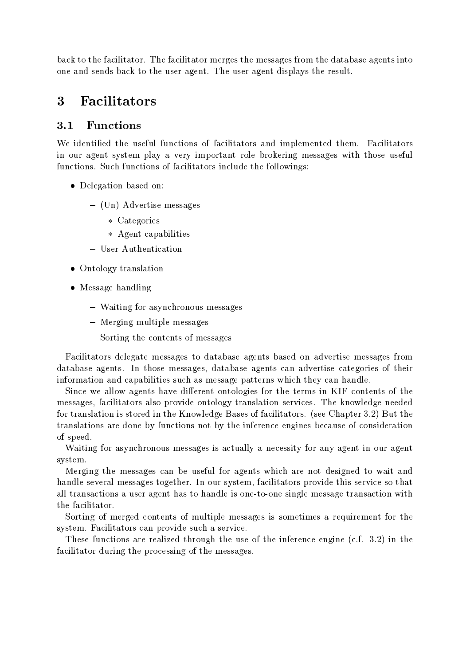back to the facilitator. The facilitator merges the messages from the database agents into one and sends back to the user agent. The user agent displays the result.

## 3 Facilitators

#### 3.1 Functions

We identied the useful functions of facilitators and implemented them. Facilitators in our agent system play a very important role brokering messages with those useful functions. Such functions of facilitators include the followings:

- Delegation based on:
	- { (Un) Advertise messages
		- categories and contract the contract of the contract of the contract of the contract of the contract of the contract of the contract of the contract of the contract of the contract of the contract of the contract of the co
		- Agent capabilities
	- User Authentication
- Ontology translation
- Message handling
	- $\cdots$  as ving for asymptomessages messages
	- $\cdots$
	- { Sorting the contents of messages

Facilitators delegate messages to database agents based on advertise messages from database agents. In those messages, database agents can advertise categories of their information and capabilities such as message patterns which they can handle.

Since we allow agents have different ontologies for the terms in KIF contents of the messages, facilitators also provide ontology translation services. The knowledge needed for translation is stored in the Knowledge Bases of facilitators. (see Chapter 3.2) But the translations are done by functions not by the inference engines because of consideration of speed.

Waiting for asynchronous messages is actually a necessity for any agent in our agent system.

Merging the messages can be useful for agents which are not designed to wait and handle several messages together. In our system, facilitators provide this service so that all transactions a user agent has to handle is one-to-one single message transaction with the facilitator.

Sorting of merged contents of multiple messages is sometimes a requirement for the system. Facilitators can provide such a service.

These functions are realized through the use of the inference engine (c.f. 3.2) in the facilitator during the processing of the messages.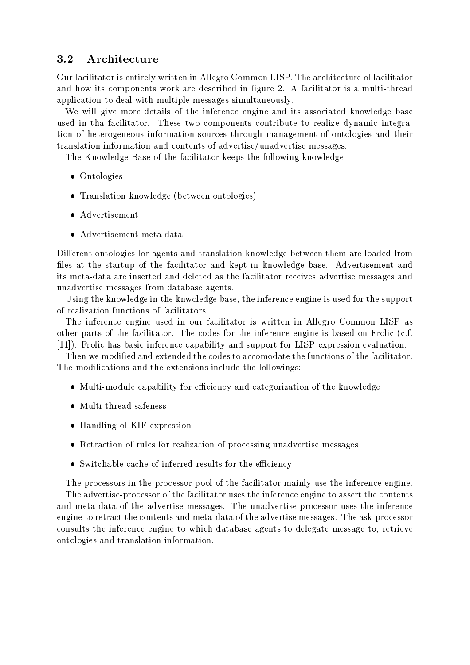### 3.2 Architecture

Our facilitator is entirely written in Allegro Common LISP. The architecture of facilitator and how its components work are described in figure 2. A facilitator is a multi-thread application to deal with multiple messages simultaneously.

We will give more details of the inference engine and its associated knowledge base used in tha facilitator. These two components contribute to realize dynamic integration of heterogeneous information sources through management of ontologies and their translation information and contents of advertise/unadvertise messages.

The Knowledge Base of the facilitator keeps the following knowledge:

- Ontologies
- Translation knowledge (between ontologies)
- Advertisement
- advertisement metal-data metal-data data data dan berkentukan berkentur mengentukan berkentur dan berkentur da

Different ontologies for agents and translation knowledge between them are loaded from files at the startup of the facilitator and kept in knowledge base. Advertisement and its meta-data are inserted and deleted as the facilitator receives advertise messages and unadvertise messages from database agents.

Using the knowledge in the knwoledge base, the inference engine is used for the support of realization functions of facilitators.

The inference engine used in our facilitator is written in Allegro Common LISP as other parts of the facilitator. The codes for the inference engine is based on Frolic (c.f. [11]). Frolic has basic inference capability and support for LISP expression evaluation.

Then we modied and extended the codes to accomodate the functions of the facilitator. The modications and the extensions include the followings:

- module capability for each categorization of the categorization of the categorization of the knowledge of the k
- $\bullet$  Multi-thread safeness
- Handling of KIF expression
- Retraction of rules for realization of processing unadvertise messages
- Switchable cache of inferred results for the eciency

The processors in the processor pool of the facilitator mainly use the inference engine. The advertise-processor of the facilitator uses the inference engine to assert the contents and meta-data of the advertise messages. The unadvertise-processor uses the inference engine to retract the contents and meta-data of the advertise messages. The ask-processor consults the inference engine to which database agents to delegate message to, retrieve ontologies and translation information.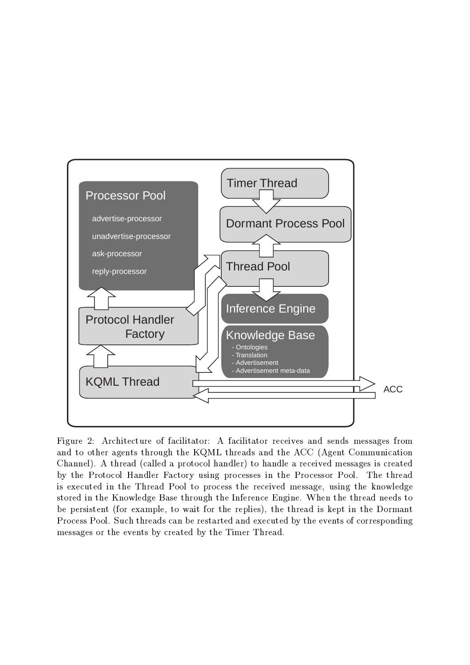

Figure 2: Architecture of facilitator: A facilitator receives and sends messages from and to other agents through the KQML threads and the ACC (Agent Communication Channel). A thread (called a protocol handler) to handle a received messages is created by the Protocol Handler Factory using processes in the Processor Pool. The thread is executed in the Thread Pool to process the received message, using the knowledge stored in the Knowledge Base through the Inference Engine. When the thread needs to be persistent (for example, to wait for the replies), the thread is kept in the Dormant Process Pool. Such threads can be restarted and executed by the events of corresponding messages or the events by created by the Timer Thread.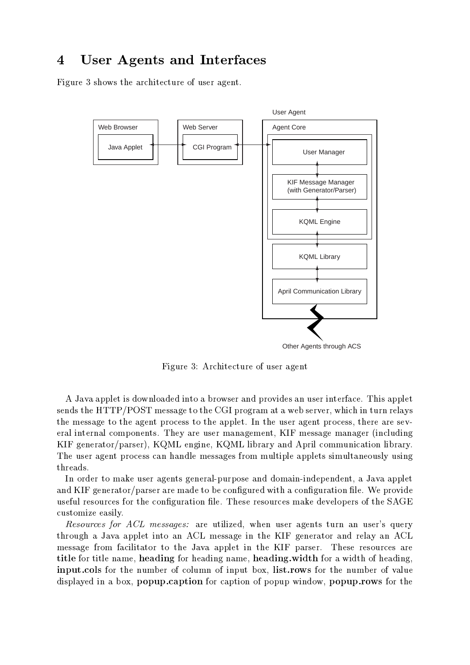## 4 User Agents and Interfaces

Figure 3 shows the architecture of user agent.



Figure 3: Architecture of user agent

A Java applet is downloaded into a browser and provides an user interface. This applet sends the HTTP/POST message to the CGI program at a web server, which in turn relays the message to the agent process to the applet. In the user agent process, there are several internal components. They are user management, KIF message manager (including KIF generator/parser), KQML engine, KQML library and April communication library. The user agent process can handle messages from multiple applets simultaneously using threads.

In order to make user agents general-purpose and domain-independent, a Java applet and  $KIF$  generator/parser are made to be configured with a configuration file. We provide useful resources for the configuration file. These resources make developers of the SAGE customize easily.

Resources for ACL messages: are utilized, when user agents turn an user's query through a Java applet into an ACL message in the KIF generator and relay an ACL message from facilitator to the Java applet in the KIF parser. These resources are title for title name, heading for heading name, heading.width for a width of heading, input.cols for the number of column of input box, list.rows for the number of value displayed in a box, popup.caption for caption of popup window, popup.rows for the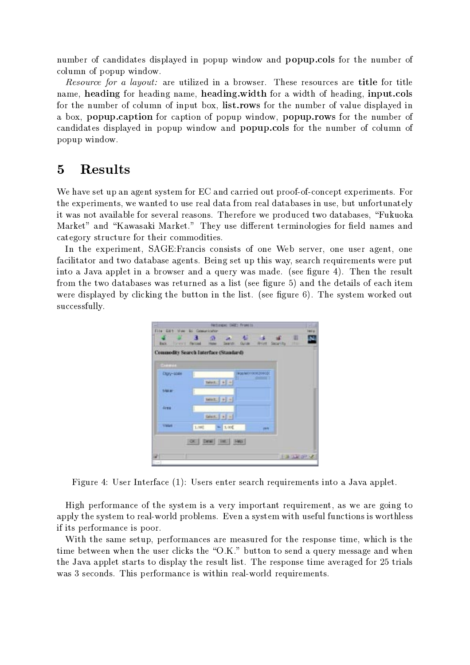number of candidates displayed in popup window and popup.cols for the number of column of popup window.

Resource for a layout: are utilized in a browser. These resources are title for title name, heading for heading name, heading.width for a width of heading, input.cols for the number of column of input box, list.rows for the number of value displayed in a box, popup.caption for caption of popup window, popup.rows for the number of candidates displayed in popup window and popup.cols for the number of column of popup window.

#### $\overline{5}$ Results

We have set up an agent system for EC and carried out proof-of-concept experiments. For the experiments, we wanted to use real data from real databases in use, but unfortunately it was not available for several reasons. Therefore we produced two databases, "Fukuoka Market" and "Kawasaki Market." They use different terminologies for field names and category structure for their commodities.

In the experiment, SAGE:Francis consists of one Web server, one user agent, one facilitator and two database agents. Being set up this way, search requirements were put into a Java applet in a browser and a query was made. (see figure 4). Then the result from the two databases was returned as a list (see figure 5) and the details of each item were displayed by clicking the button in the list. (see figure 6). The system worked out successfully.



Figure 4: User Interface (1): Users enter search requirements into a Java applet.

High performance of the system is a very important requirement, as we are going to apply the system to real-world problems. Even a system with useful functions is worthless if its performance is poor.

With the same setup, performances are measured for the response time, which is the time between when the user clicks the "O.K." button to send a query message and when the Java applet starts to display the result list. The response time averaged for 25 trials was 3 seconds. This performance is within real-world requirements.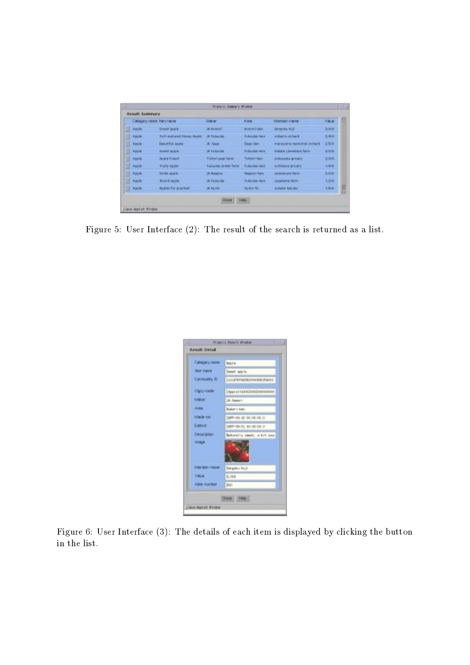|   | Catagary name item hands.  |                                     | <b>MARK</b>                         | 天地区                 | Marriagn-Variet                  | <b>Value</b> |  |
|---|----------------------------|-------------------------------------|-------------------------------------|---------------------|----------------------------------|--------------|--|
| y | Apple                      | <b>SHART SURVEY</b>                 | JR ASNOT                            | <b>Bomori-kan</b>   | <b>Bangoka</b> Roll              | 1008         |  |
| D | Apple                      | Full-makered Honey Apple            | <b>IN Futuritie</b>                 | Fukunka-kee         | a chair a cather is              | $2-404$      |  |
|   | Apple                      | <b>Deast Full list plu</b>          | JR: Sate                            | Sepalitant          | management management orchard    | 2504         |  |
|   | <b>Again</b>               | <b>Boott might</b>                  | IN FURNISH                          | Follocks-key        | <b>Isabetta yernalship faren</b> | 1,000        |  |
|   | Apple                      | <b>Apple Powert</b>                 | <b>Tuttori pour farm</b>            | Totherriant         | рудорала игоску                  | 1,008        |  |
| Ш | <b>Haple</b>               | <b><i><u>Frailty squise</u></i></b> | <b><i>EUROPEN OR MORT TWITH</i></b> | Followin-Ass        | achieves groom                   | 1-908        |  |
| U | <b><i><u>Apola</u></i></b> | <b>banda</b> words                  | <b>IR Booner</b>                    | <b>Maggini-Reim</b> | painter are fares.               | 3,006        |  |
| U | Apple                      | <b>Kound supla-</b>                 | ilk Tickleoka                       | Tobooks-kett        | sweetsma farms                   | 1.208        |  |
| υ | <b>ABUM</b>                | Available For goachief.             | IN Noodo.                           | <b>Nyido-Ru</b>     | mikalis kazlako                  | 1301         |  |

Figure 5: User Interface (2): The result of the search is returned as a list.

| Catagary rame        | <b>Hopf</b>                 |  |  |  |
|----------------------|-----------------------------|--|--|--|
| <b>Rent manner</b>   | Deput, argive               |  |  |  |
| Canwoodty O          | 1111176700000000000000000   |  |  |  |
| Clary-cade           | Омы из хвождождожностики    |  |  |  |
| <b>Istabar</b>       | <b>UA Assembly</b>          |  |  |  |
| <b>Richards</b>      | Branche I-Banks             |  |  |  |
| Made-de              | CARRY-CI3- 18, 90109 100. D |  |  |  |
| <b>Eldird:</b>       | UMM-05-21 80108.00.0        |  |  |  |
| Desartmen            | Bahurally sweet, a bit sou  |  |  |  |
| <b>Inapel</b>        |                             |  |  |  |
| <b>Merator-races</b> | Dengalku Koul               |  |  |  |
| Value                | 5,008                       |  |  |  |
| Able inventors       | Into                        |  |  |  |

Figure 6: User Interface (3): The details of each item is displayed by clicking the button in the list.